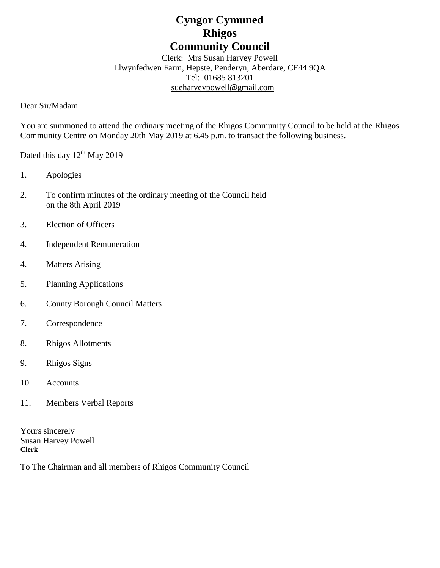# **Cyngor Cymuned Rhigos Community Council**

Clerk: Mrs Susan Harvey Powell Llwynfedwen Farm, Hepste, Penderyn, Aberdare, CF44 9QA Tel: 01685 813201 [sueharveypowell@g](mailto:sharveypowell@comin-infants.co.uk)mail.com

Dear Sir/Madam

You are summoned to attend the ordinary meeting of the Rhigos Community Council to be held at the Rhigos Community Centre on Monday 20th May 2019 at 6.45 p.m. to transact the following business.

Dated this day  $12<sup>th</sup>$  May 2019

- 1. Apologies
- 2. To confirm minutes of the ordinary meeting of the Council held on the 8th April 2019
- 3. Election of Officers
- 4. Independent Remuneration
- 4. Matters Arising
- 5. Planning Applications
- 6. County Borough Council Matters
- 7. Correspondence
- 8. Rhigos Allotments
- 9. Rhigos Signs
- 10. Accounts
- 11. Members Verbal Reports

Yours sincerely Susan Harvey Powell **Clerk**

To The Chairman and all members of Rhigos Community Council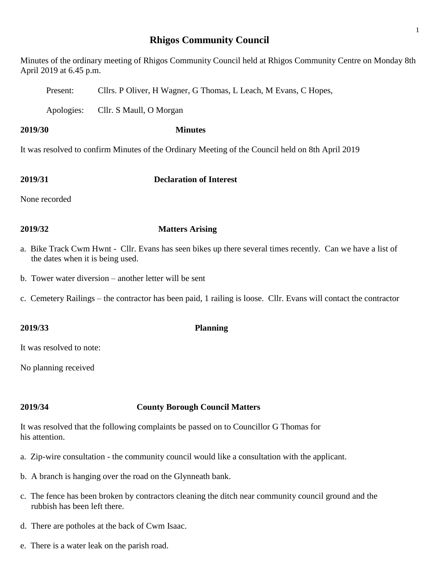## **Rhigos Community Council**

Minutes of the ordinary meeting of Rhigos Community Council held at Rhigos Community Centre on Monday 8th April 2019 at 6.45 p.m.

Present: Cllrs. P Oliver, H Wagner, G Thomas, L Leach, M Evans, C Hopes,

Apologies: Cllr. S Maull, O Morgan

**2019/30 Minutes**

It was resolved to confirm Minutes of the Ordinary Meeting of the Council held on 8th April 2019

**2019/31 Declaration of Interest**

None recorded

## **2019/32 Matters Arising**

- a. Bike Track Cwm Hwnt Cllr. Evans has seen bikes up there several times recently. Can we have a list of the dates when it is being used.
- b. Tower water diversion another letter will be sent
- c. Cemetery Railings the contractor has been paid, 1 railing is loose. Cllr. Evans will contact the contractor

It was resolved to note:

No planning received

## **2019/34 County Borough Council Matters**

It was resolved that the following complaints be passed on to Councillor G Thomas for his attention.

- a. Zip-wire consultation the community council would like a consultation with the applicant.
- b. A branch is hanging over the road on the Glynneath bank.
- c. The fence has been broken by contractors cleaning the ditch near community council ground and the rubbish has been left there.
- d. There are potholes at the back of Cwm Isaac.
- e. There is a water leak on the parish road.

## **2019/33 Planning**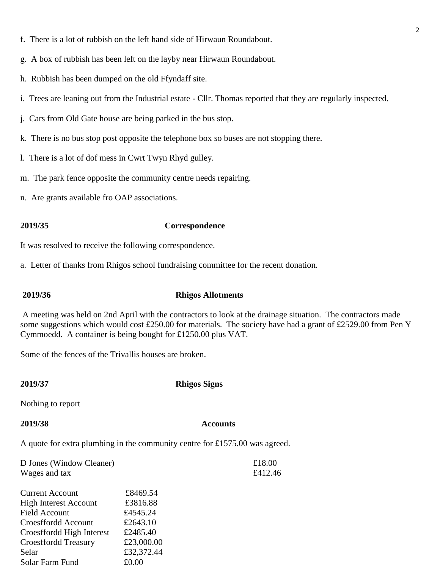- f. There is a lot of rubbish on the left hand side of Hirwaun Roundabout.
- g. A box of rubbish has been left on the layby near Hirwaun Roundabout.
- h. Rubbish has been dumped on the old Ffyndaff site.
- i. Trees are leaning out from the Industrial estate Cllr. Thomas reported that they are regularly inspected.
- j. Cars from Old Gate house are being parked in the bus stop.
- k. There is no bus stop post opposite the telephone box so buses are not stopping there.
- l. There is a lot of dof mess in Cwrt Twyn Rhyd gulley.
- m. The park fence opposite the community centre needs repairing.
- n. Are grants available fro OAP associations.

### **2019/35 Correspondence**

It was resolved to receive the following correspondence.

a. Letter of thanks from Rhigos school fundraising committee for the recent donation.

### **2019/36 Rhigos Allotments**

A meeting was held on 2nd April with the contractors to look at the drainage situation. The contractors made some suggestions which would cost £250.00 for materials. The society have had a grant of £2529.00 from Pen Y Cymmoedd. A container is being bought for £1250.00 plus VAT.

Some of the fences of the Trivallis houses are broken.

### **2019/37 Rhigos Signs**

Nothing to report

### **2019/38 Accounts**

A quote for extra plumbing in the community centre for £1575.00 was agreed.

| D Jones (Window Cleaner)     |            | £18.00  |
|------------------------------|------------|---------|
| Wages and tax                |            | £412.46 |
|                              |            |         |
| <b>Current Account</b>       | £8469.54   |         |
| <b>High Interest Account</b> | £3816.88   |         |
| <b>Field Account</b>         | £4545.24   |         |
| Croesffordd Account          | £2643.10   |         |
| Croesffordd High Interest    | £2485.40   |         |
| <b>Croesffordd Treasury</b>  | £23,000.00 |         |
| Selar                        | £32,372.44 |         |
| Solar Farm Fund              | £0.00      |         |